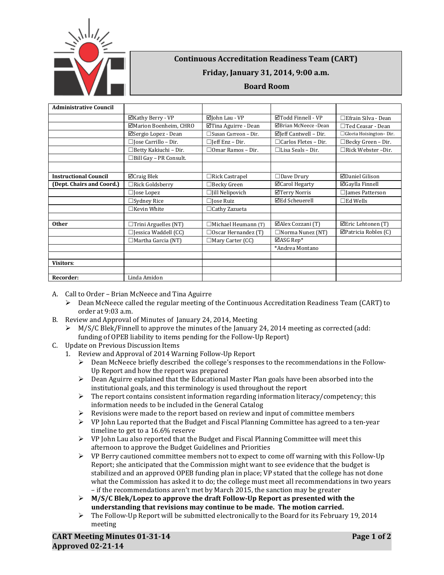

## **Continuous Accreditation Readiness Team (CART)**

## **Friday, January 31, 2014, 9:00 a.m.**

## **Board Room**

| <b>Administrative Council</b> |                               |                                |                                  |                            |
|-------------------------------|-------------------------------|--------------------------------|----------------------------------|----------------------------|
|                               | ⊠Kathy Berry - VP             | ⊠John Lau - VP                 | ⊠Todd Finnell - VP               | $\Box$ Efrain Silva - Dean |
|                               | ⊠Marion Boenheim, CHRO        | ⊠Tina Aguirre - Dean           | ⊠Brian McNeece -Dean             | $\Box$ Ted Ceasar - Dean   |
|                               | ⊠Sergio Lopez - Dean          | $\square$ Susan Carreon - Dir. | $\boxtimes$ Jeff Cantwell – Dir. | □ Gloria Hoisington-Dir.   |
|                               | $\Box$ Jose Carrillo – Dir.   | $\Box$ Jeff Enz – Dir.         | $\Box$ Carlos Fletes - Dir.      | $\Box$ Becky Green - Dir.  |
|                               | □Betty Kakiuchi - Dir.        | $\Box$ Omar Ramos - Dir.       | $\Box$ Lisa Seals – Dir.         | $\Box$ Rick Webster-Dir.   |
|                               | $\Box$ Bill Gay - PR Consult. |                                |                                  |                            |
|                               |                               |                                |                                  |                            |
| <b>Instructional Council</b>  | ⊠Craig Blek                   | $\Box$ Rick Castrapel          | $\Box$ Dave Drury                | ⊠Daniel Gilison            |
| (Dept. Chairs and Coord.)     | $\Box$ Rick Goldsberry        | $\Box$ Becky Green             | <b>⊡</b> Carol Hegarty           | ⊠Gaylla Finnell            |
|                               | $\Box$ Jose Lopez             | $\Box$ [ill Nelipovich         | ⊠Terry Norris                    | □ James Patterson          |
|                               | $\Box$ Sydney Rice            | $\Box$ Jose Ruiz               | <b>⊠Ed Scheuerell</b>            | $\square$ Ed Wells         |
|                               | $\Box$ Kevin White            | $\Box$ Cathy Zazueta           |                                  |                            |
|                               |                               |                                |                                  |                            |
| <b>Other</b>                  | $\Box$ Trini Arguelles (NT)   | $\Box$ Michael Heumann (T)     | ⊠Alex Cozzani (T)                | ⊡Eric Lehtonen (T)         |
|                               | $\Box$ Jessica Waddell (CC)   | $\Box$ Oscar Hernandez (T)     | □Norma Nunez (NT)                | ⊠Patricia Robles (C)       |
|                               | $\Box$ Martha Garcia (NT)     | $\Box$ Mary Carter (CC)        | $\Box$ ASG Rep*                  |                            |
|                               |                               |                                | *Andrea Montano                  |                            |
|                               |                               |                                |                                  |                            |
| <b>Visitors:</b>              |                               |                                |                                  |                            |
|                               |                               |                                |                                  |                            |
| Recorder:                     | Linda Amidon                  |                                |                                  |                            |

- A. Call to Order Brian McNeece and Tina Aguirre
	- $\triangleright$  Dean McNeece called the regular meeting of the Continuous Accreditation Readiness Team (CART) to order at 9:03 a.m.
- B. Review and Approval of Minutes of January 24, 2014, Meeting
	- M/S/C Blek/Finnell to approve the minutes of the January 24, 2014 meeting as corrected (add: funding of OPEB liability to items pending for the Follow-Up Report)
- C. Update on Previous Discussion Items
	- 1. Review and Approval of 2014 Warning Follow-Up Report
		- $\triangleright$  Dean McNeece briefly described the college's responses to the recommendations in the Follow-Up Report and how the report was prepared
		- Dean Aguirre explained that the Educational Master Plan goals have been absorbed into the institutional goals, and this terminology is used throughout the report
		- $\triangleright$  The report contains consistent information regarding information literacy/competency; this information needs to be included in the General Catalog
		- $\triangleright$  Revisions were made to the report based on review and input of committee members
		- $\triangleright$  VP John Lau reported that the Budget and Fiscal Planning Committee has agreed to a ten-year timeline to get to a 16.6% reserve
		- $\triangleright$  VP John Lau also reported that the Budget and Fiscal Planning Committee will meet this afternoon to approve the Budget Guidelines and Priorities
		- $\triangleright$  VP Berry cautioned committee members not to expect to come off warning with this Follow-Up Report; she anticipated that the Commission might want to see evidence that the budget is stabilized and an approved OPEB funding plan in place; VP stated that the college has not done what the Commission has asked it to do; the college must meet all recommendations in two years – if the recommendations aren't met by March 2015, the sanction may be greater
		- **M/S/C Blek/Lopez to approve the draft Follow-Up Report as presented with the understanding that revisions may continue to be made. The motion carried.**
		- $\triangleright$  The Follow-Up Report will be submitted electronically to the Board for its February 19, 2014 meeting